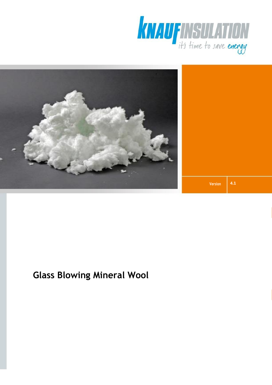



**Version 4.1**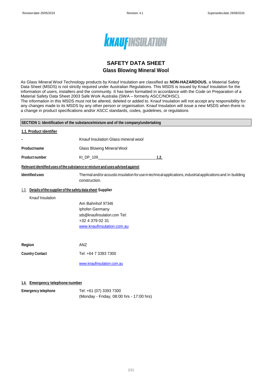

### **SAFETY DATA SHEET Glass Blowing Mineral Wool**

As Glass Mineral Wool Technology products by Knauf Insulation are classified as **NON-HAZARDOUS**, a Material Safety Data Sheet (MSDS) is not strictly required under Australian Regulations. This MSDS is issued by Knauf Insulation for the information of users, installers and the community. It has been formatted in accordance with the Code on Preparation of a Material Safety Data Sheet 2003 Safe Work Australia (SWA – formerly ASCC/NOHSC).

The information in this MSDS must not be altered, deleted or added to. Knauf Insulation will not accept any responsibility for any changes made to its MSDS by any other person or organisation. Knauf Insulation will issue a new MSDS when there is a change in product specifications and/or ASCC standards, codes, guidelines, or regulations

| SECTION 1: Identification of the substance/mixture and of the company/undertaking |                                                                                                                      |                                                                                                               |
|-----------------------------------------------------------------------------------|----------------------------------------------------------------------------------------------------------------------|---------------------------------------------------------------------------------------------------------------|
| 1.1. Product identifier                                                           |                                                                                                                      |                                                                                                               |
| ۰                                                                                 | Knauf Insulation Glass mineral wool                                                                                  |                                                                                                               |
| Productname                                                                       | Glass Blowing Mineral Wool                                                                                           |                                                                                                               |
| <b>Product number</b>                                                             |                                                                                                                      | 1.2.                                                                                                          |
|                                                                                   | Relevant identified uses of the substance or mixture and uses advised against                                        |                                                                                                               |
| <b>Identified uses</b>                                                            | construction.                                                                                                        | Thermal and/or acoustic insulation for use in technical applications, industrial applications and in building |
| Details of the supplier of the safety data sheet Supplier<br>1.3.                 |                                                                                                                      |                                                                                                               |
| Knauf Insulation                                                                  | Am Bahnhof 97346<br>Iphofen Germany<br>sds@knaufinsulation.com Tel:<br>+32 4 379 02 31<br>www.knaufinsulation.com.au |                                                                                                               |
| Region                                                                            | ANZ                                                                                                                  |                                                                                                               |
| <b>Country Contact</b>                                                            | Tel: +64 7 3393 7300                                                                                                 |                                                                                                               |
|                                                                                   | www.knaufinsulation.com.au                                                                                           |                                                                                                               |
|                                                                                   |                                                                                                                      |                                                                                                               |

#### **1.4. Emergency telephone number**

| <b>Emergency telephone</b> | Tel: +61 (07) 3393 7300                  |
|----------------------------|------------------------------------------|
|                            | (Monday - Friday, 08:00 hrs - 17:00 hrs) |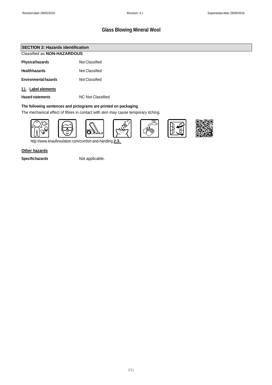#### Classified as **NON-HAZARDOUS SECTION 2: Hazards identification**

| <b>Physicalhazards</b> | Not Classified |
|------------------------|----------------|

**Healthhazards** Not Classified

**Environmental hazards** Not Classified

#### **2.1. Label elements**

**Hazard statements** NC Not Classified

#### **The following sentences and pictograms are printed on packaging**

The mechanical effect of fibres in contact with skin may cause temporary itching.



<http://www.knaufinsulation.com/comfort-and-handling> **2.3.** 

#### **Other hazards**

**Specifichazards** Not applicable.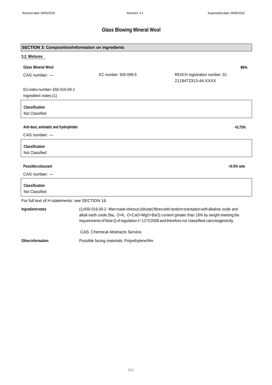| <b>SECTION 3: Composition/information on ingredients</b> |                                                                                                                                                                                                                                                                                                                                 |                                                      |
|----------------------------------------------------------|---------------------------------------------------------------------------------------------------------------------------------------------------------------------------------------------------------------------------------------------------------------------------------------------------------------------------------|------------------------------------------------------|
| 3.2. Mixtures                                            |                                                                                                                                                                                                                                                                                                                                 |                                                      |
| <b>Glass Mineral Wool</b>                                |                                                                                                                                                                                                                                                                                                                                 | 99%                                                  |
| CAS number: -                                            | EC number: 926-099-9                                                                                                                                                                                                                                                                                                            | REACH registration number: 01-<br>2119472313-44-XXXX |
| EU index number: 650-016-00-2                            |                                                                                                                                                                                                                                                                                                                                 |                                                      |
| Ingredient notes:(1)                                     |                                                                                                                                                                                                                                                                                                                                 |                                                      |
| <b>Classification</b><br>Not Classified                  |                                                                                                                                                                                                                                                                                                                                 |                                                      |
|                                                          |                                                                                                                                                                                                                                                                                                                                 |                                                      |
| Anti-dust, antistatic and hydrophobic                    |                                                                                                                                                                                                                                                                                                                                 | < 0.75%                                              |
| CAS number: -                                            |                                                                                                                                                                                                                                                                                                                                 |                                                      |
| <b>Classification</b>                                    |                                                                                                                                                                                                                                                                                                                                 |                                                      |
| Not Classified                                           |                                                                                                                                                                                                                                                                                                                                 |                                                      |
| <b>Possible colourant</b>                                |                                                                                                                                                                                                                                                                                                                                 | <0.5% w/w                                            |
| CAS number: -                                            |                                                                                                                                                                                                                                                                                                                                 |                                                      |
| <b>Classification</b><br>Not Classified                  |                                                                                                                                                                                                                                                                                                                                 |                                                      |
| For full text of H-statements: see SECTION 16.           |                                                                                                                                                                                                                                                                                                                                 |                                                      |
| Ingredientnotes                                          | (1) 650-016-00-2 - Man made vitreous (silicate) fibres with random orientation with alkaline oxide and<br>alkali earth oxide (Na <sub>2</sub> O+K <sub>2</sub> O+CaO+MgO+BaO) content greater than 18% by weight meeting the<br>requirements of Note Q of regulation n° 1272/2008 and therefore not classified carcinogenicity. |                                                      |
|                                                          | <b>CAS: Chemical Abstracts Service.</b>                                                                                                                                                                                                                                                                                         |                                                      |
| <b>Other information</b>                                 | Possible facing materials: Polyethylenefilm.                                                                                                                                                                                                                                                                                    |                                                      |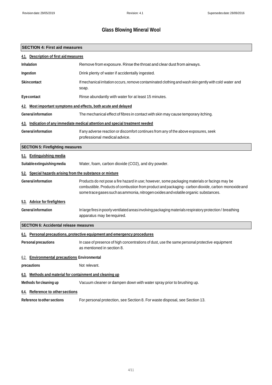| <b>SECTION 4: First aid measures</b>                                     |                                                                                                                                                                                                                                                                                              |  |
|--------------------------------------------------------------------------|----------------------------------------------------------------------------------------------------------------------------------------------------------------------------------------------------------------------------------------------------------------------------------------------|--|
| 4.1. Description of first aid measures                                   |                                                                                                                                                                                                                                                                                              |  |
| <b>Inhalation</b>                                                        | Remove from exposure. Rinse the throat and clear dust from airways.                                                                                                                                                                                                                          |  |
| Ingestion                                                                | Drink plenty of water if accidentally ingested.                                                                                                                                                                                                                                              |  |
| <b>Skincontact</b>                                                       | If mechanical irritation occurs, remove contaminated clothing and wash skin gently with cold water and<br>soap.                                                                                                                                                                              |  |
| <b>Eye contact</b>                                                       | Rinse abundantly with water for at least 15 minutes.                                                                                                                                                                                                                                         |  |
| 4.2.                                                                     | Most important symptoms and effects, both acute and delayed                                                                                                                                                                                                                                  |  |
| <b>General information</b>                                               | The mechanical effect of fibres in contact with skin may cause temporary itching.                                                                                                                                                                                                            |  |
|                                                                          | 4.3. Indication of any immediate medical attention and special treatment needed                                                                                                                                                                                                              |  |
| <b>General information</b>                                               | If any adverse reaction or discomfort continues from any of the above exposures, seek<br>professional medical advice.                                                                                                                                                                        |  |
| <b>SECTION 5: Firefighting measures</b>                                  |                                                                                                                                                                                                                                                                                              |  |
| 5.1. Extinguishing media                                                 |                                                                                                                                                                                                                                                                                              |  |
| Suitable extinguishing media                                             | Water, foam, carbon dioxide (CO2), and dry powder.                                                                                                                                                                                                                                           |  |
| 5.2. Special hazards arising from the substance or mixture               |                                                                                                                                                                                                                                                                                              |  |
| <b>General information</b>                                               | Products do not pose a fire hazard in use; however, some packaging materials or facings may be<br>combustible. Products of combustion from product and packaging - carbon dioxide, carbon monoxide and<br>some trace gases such as ammonia, nitrogen oxides and volatile organic substances. |  |
| 5.3. Advice for firefighters                                             |                                                                                                                                                                                                                                                                                              |  |
| <b>General information</b>                                               | In large fires in poorly ventilated areas involving packaging materials respiratory protection/breathing<br>apparatus may be required.                                                                                                                                                       |  |
| <b>SECTION 6: Accidental release measures</b>                            |                                                                                                                                                                                                                                                                                              |  |
| 6.1. Personal precautions, protective equipment and emergency procedures |                                                                                                                                                                                                                                                                                              |  |
| <b>Personal precautions</b>                                              | In case of presence of high concentrations of dust, use the same personal protective equipment<br>as mentioned in section 8.                                                                                                                                                                 |  |
| <b>Environmental precautions Environmental</b><br>6.2.                   |                                                                                                                                                                                                                                                                                              |  |
| precautions                                                              | Not relevant.                                                                                                                                                                                                                                                                                |  |
| Methods and material for containment and cleaning up<br>6 <u>.3.</u>     |                                                                                                                                                                                                                                                                                              |  |
| Methods for cleaning up                                                  | Vacuum cleaner or dampen down with water spray prior to brushing up.                                                                                                                                                                                                                         |  |
| <b>Reference to other sections</b><br>6.4.                               |                                                                                                                                                                                                                                                                                              |  |
| <b>Reference to other sections</b>                                       | For personal protection, see Section 8. For waste disposal, see Section 13.                                                                                                                                                                                                                  |  |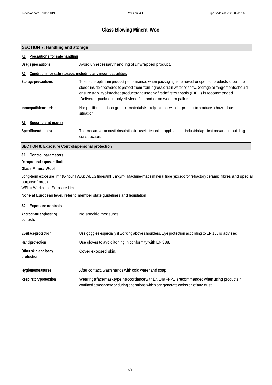### **SECTION 7: Handling and storage**

| 7.1. Precautions for safe handling                                                                                                              |                                                                                                                                                                                                                                                                                                                                                                                 |
|-------------------------------------------------------------------------------------------------------------------------------------------------|---------------------------------------------------------------------------------------------------------------------------------------------------------------------------------------------------------------------------------------------------------------------------------------------------------------------------------------------------------------------------------|
| Usage precautions                                                                                                                               | Avoid unnecessary handling of unwrapped product.                                                                                                                                                                                                                                                                                                                                |
| 7.2. Conditions for safe storage, including any incompatibilities                                                                               |                                                                                                                                                                                                                                                                                                                                                                                 |
| Storage precautions                                                                                                                             | To ensure optimum product performance; when packaging is removed or opened; products should be<br>stored inside or covered to protect them from ingress of rain water or snow. Storage arrangements should<br>ensurestability of stacked products and use on a first infirst outbasis (FIFO) is recommended.<br>Delivered packed in polyethylene film and or on wooden pallets. |
| Incompatible materials                                                                                                                          | No specific material or group of materials is likely to react with the product to produce a hazardous<br>situation.                                                                                                                                                                                                                                                             |
| 7.3. Specific end use(s)                                                                                                                        |                                                                                                                                                                                                                                                                                                                                                                                 |
| Specificenduse(s)                                                                                                                               | Thermal and/or acoustic insulation for use in technical applications, industrial applications and in building<br>construction.                                                                                                                                                                                                                                                  |
| <b>SECTION 8: Exposure Controls/personal protection</b>                                                                                         |                                                                                                                                                                                                                                                                                                                                                                                 |
| 8.1. Control parameters<br><b>Occupational exposure limits</b><br><b>Glass Mineral Wool</b><br>purposefibres)<br>WEL = Workplace Exposure Limit | Long-term exposure limit (8-hour TWA): WEL 2 fibres/ml 5 mg/m <sup>3</sup> Machine-made mineral fibre (except for refractory ceramic fibres and special                                                                                                                                                                                                                         |
|                                                                                                                                                 | None at European level, refer to member state guidelines and legislation.                                                                                                                                                                                                                                                                                                       |
| 8.2. Exposure controls<br>Appropriate engineering<br>controls                                                                                   | No specific measures.                                                                                                                                                                                                                                                                                                                                                           |
|                                                                                                                                                 |                                                                                                                                                                                                                                                                                                                                                                                 |
| Eye/face protection                                                                                                                             | Use goggles especially if working above shoulders. Eye protection according to EN 166 is advised.                                                                                                                                                                                                                                                                               |
| <b>Hand protection</b>                                                                                                                          | Use gloves to avoid itching in conformity with EN 388.                                                                                                                                                                                                                                                                                                                          |
| Other skin and body<br>protection                                                                                                               | Cover exposed skin.                                                                                                                                                                                                                                                                                                                                                             |
| <b>Hygienemeasures</b>                                                                                                                          | After contact, wash hands with cold water and soap.                                                                                                                                                                                                                                                                                                                             |
| <b>Respiratory protection</b>                                                                                                                   | Wearing aface mask type in accordance with EN 149 FFP1 is recommended when using products in<br>confined atmosphere or during operations which can generate emission of any dust.                                                                                                                                                                                               |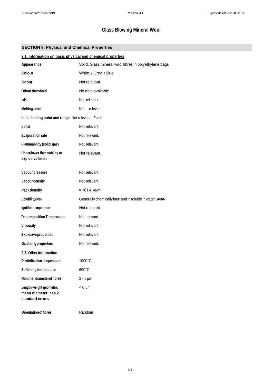| <b>SECTION 9: Physical and Chemical Properties</b>                 |                                                            |  |  |
|--------------------------------------------------------------------|------------------------------------------------------------|--|--|
|                                                                    | 9.1. Information on basic physical and chemical properties |  |  |
| Appearance                                                         | Solid. Glass mineral wool fibres in polyethylene bags      |  |  |
| Colour                                                             | White. / Grey. / Blue.                                     |  |  |
| Odour                                                              | Not relevant.                                              |  |  |
| Odour threshold                                                    | No data available.                                         |  |  |
| pH                                                                 | Not relevant.                                              |  |  |
| <b>Melting point</b>                                               | relevant.<br>Not                                           |  |  |
| Initial boiling point and range Not relevant. Flash                |                                                            |  |  |
| point                                                              | Not relevant.                                              |  |  |
| <b>Evaporation rate</b>                                            | Not relevant.                                              |  |  |
| Flammability (solid, gas)                                          | Not relevant.                                              |  |  |
| Upper/lower flammability or<br>explosive limits                    | Not relevant.                                              |  |  |
| Vapour pressure                                                    | Not relevant.                                              |  |  |
| Vapour density                                                     | Not relevant.                                              |  |  |
| Packdensity                                                        | $\approx 161.4 \text{ kg/m}^3$                             |  |  |
| Solubility(ies)                                                    | Generally chemically inert and insoluble in water. Auto-   |  |  |
| ignition temperature                                               | Not relevant.                                              |  |  |
| <b>Decomposition Temperature</b>                                   | Not relevant.                                              |  |  |
| Viscosity                                                          | Not relevant.                                              |  |  |
| <b>Explosive properties</b>                                        | Not relevant.                                              |  |  |
| Oxidising properties                                               | Not relevant.                                              |  |  |
| 9.2. Other information                                             |                                                            |  |  |
| <b>Devitrification temperature</b>                                 | 1000°C                                                     |  |  |
| Softeningtemperature                                               | 600°C                                                      |  |  |
| <b>Nominal diameterof fibres</b>                                   | $2 - 5 \mu m$                                              |  |  |
| Length weight geometric<br>mean diameter less 2<br>standard errors | $< 6 \mu m$                                                |  |  |
| <b>Orientation of fibres</b>                                       | Random                                                     |  |  |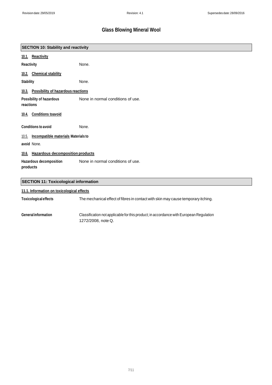|                  | <b>SECTION 10: Stability and reactivity</b>  |                                   |
|------------------|----------------------------------------------|-----------------------------------|
|                  | 10.1. Reactivity                             |                                   |
| Reactivity       |                                              | None.                             |
|                  | 10.2. Chemical stability                     |                                   |
| <b>Stability</b> |                                              | None.                             |
|                  | 10.3. Possibility of hazardous reactions     |                                   |
| reactions        | Possibility of hazardous                     | None in normal conditions of use. |
|                  | 10.4. Conditions toavoid                     |                                   |
|                  | <b>Conditions to avoid</b>                   | None.                             |
|                  | 10.5. Incompatible materials Materials to    |                                   |
|                  | avoid None.                                  |                                   |
|                  | 10.6. Hazardous decomposition products       |                                   |
| products         | Hazardous decomposition                      | None in normal conditions of use. |
|                  | <b>SECTION 11: Toxicological information</b> |                                   |
|                  | Ad Allafamontan an taulaalamaalaffaata       |                                   |

|                              | 11.1. Information on toxicological effects                                                                   |  |
|------------------------------|--------------------------------------------------------------------------------------------------------------|--|
| <b>Toxicological effects</b> | The mechanical effect of fibres in contact with skin may cause temporary itching.                            |  |
| <b>General information</b>   | Classification not applicable for this product; in accordance with European Regulation<br>1272/2008, note Q. |  |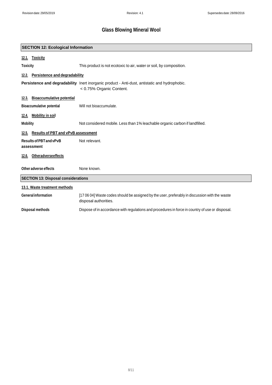|                                            | <b>SECTION 12: Ecological Information</b> |                                                                                                                                   |  |
|--------------------------------------------|-------------------------------------------|-----------------------------------------------------------------------------------------------------------------------------------|--|
| 12.1.                                      | <b>Toxicity</b>                           |                                                                                                                                   |  |
| <b>Toxicity</b>                            |                                           | This product is not ecotoxic to air, water or soil, by composition.                                                               |  |
| 12.2.                                      | Persistence and degradability             |                                                                                                                                   |  |
|                                            |                                           | <b>Persistence and degradability</b> Inert inorganic product - Anti-dust, antistatic and hydrophobic.<br>< 0.75% Organic Content. |  |
| 12.3.                                      | <b>Bioaccumulative potential</b>          |                                                                                                                                   |  |
|                                            | <b>Bioaccumulative potential</b>          | Will not bioaccumulate.                                                                                                           |  |
| 12.4.                                      | <b>Mobility in soil</b>                   |                                                                                                                                   |  |
| <b>Mobility</b>                            |                                           | Not considered mobile. Less than 1% leachable organic carbon if landfilled.                                                       |  |
| 12.5.                                      | <b>Results of PBT and vPvB assessment</b> |                                                                                                                                   |  |
|                                            | Results of PBT and vPvB<br>assessment     | Not relevant.                                                                                                                     |  |
|                                            | 12.6. Otheradverseeffects                 |                                                                                                                                   |  |
|                                            | Other adverse effects                     | None known.                                                                                                                       |  |
| <b>SECTION 13: Disposal considerations</b> |                                           |                                                                                                                                   |  |
| 13.1. Waste treatment methods              |                                           |                                                                                                                                   |  |
|                                            | <b>General information</b>                | [17 06 04] Waste codes should be assigned by the user, preferably in discussion with the waste<br>disposal authorities.           |  |
|                                            | Disposal methods                          | Dispose of in accordance with regulations and procedures in force in country of use or disposal.                                  |  |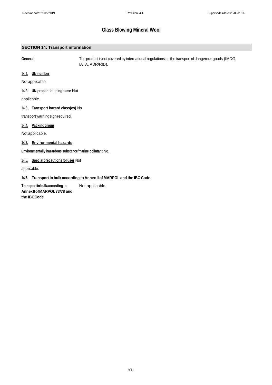#### **SECTION 14: Transport information**

**General** The product is not covered by international regulations on the transport of dangerous goods (IMDG, IATA, ADR/RID).

#### 14.1. **UN number**

Notapplicable.

#### 14.2. **UN proper shippingname** Not

applicable.

#### 14.3. **Transport hazard class(es)** No

transport warning sign required.

#### 14.4. **Packinggroup**

Not applicable.

#### **14.5. Environmental hazards**

**Environmentally hazardous substance/marine pollutant** No.

#### 14.6. **Specialprecautions foruser** Not

applicable.

#### **14.7. Transport in bulk according to Annex II of MARPOL and the IBC Code**

**Transportinbulkaccordingto AnnexIIofMARPOL73/78 and the IBCCode** Not applicable.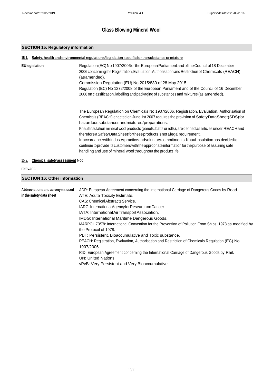#### **SECTION 15: Regulatory information**

| <b>EU</b> legislation | Regulation (EC) No 1907/2006 of the European Parliament and of the Council of 18 December                                                                                                                                                                             |
|-----------------------|-----------------------------------------------------------------------------------------------------------------------------------------------------------------------------------------------------------------------------------------------------------------------|
|                       | 2006 concerning the Registration, Evaluation, Authorisation and Restriction of Chemicals (REACH)<br>(asamended).                                                                                                                                                      |
|                       | Commission Regulation (EU) No 2015/830 of 28 May 2015.                                                                                                                                                                                                                |
|                       | Regulation (EC) No 1272/2008 of the European Parliament and of the Council of 16 December                                                                                                                                                                             |
|                       | 2008 on classification, labelling and packaging of substances and mixtures (as amended).                                                                                                                                                                              |
|                       | The European Regulation on Chemicals No 1907/2006, Registration, Evaluation, Authorisation of                                                                                                                                                                         |
|                       | Chemicals (REACH) enacted on June 1st 2007 requires the provision of SafetyDataSheet(SDS)for<br>hazardous substances and mixtures/preparations.                                                                                                                       |
|                       | Knauf Insulation mineral wool products (panels, batts or rolls), are defined as articles under REACH and<br>therefore a Safety Data Sheet for these products is not a legal requirement.                                                                              |
|                       | Inaccordance withindustry practice and voluntary commitments, Knauf Insulation has decided to<br>continue to provide its customers with the appropriate information for the purpose of assuring safe<br>handling and use of mineral wool throughout the product life. |

### 15.2. **Chemical safetyassessment** Not

#### relevant.

#### **Abbreviations andacronyms used in the safety data sheet** ADR: European Agreement concerning the International Carriage of Dangerous Goods by Road. ATE: Acute Toxicity Estimate. CAS: ChemicalAbstractsService. IARC: InternationalAgencyforResearchonCancer. IATA: InternationalAirTransportAssociation. IMDG: International Maritime Dangerous Goods. **SECTION 16: Other information**

MARPOL 73/78: International Convention for the Prevention of Pollution From Ships, 1973 as modified by the Protocol of 1978. PBT: Persistent, Bioaccumulative and Toxic substance. REACH: Registration, Evaluation, Authorisation and Restriction of Chemicals Regulation (EC) No 1907/2006. RID: European Agreement concerning the International Carriage of Dangerous Goods by Rail.

UN: United Nations.

vPvB: Very Persistent and Very Bioaccumulative.